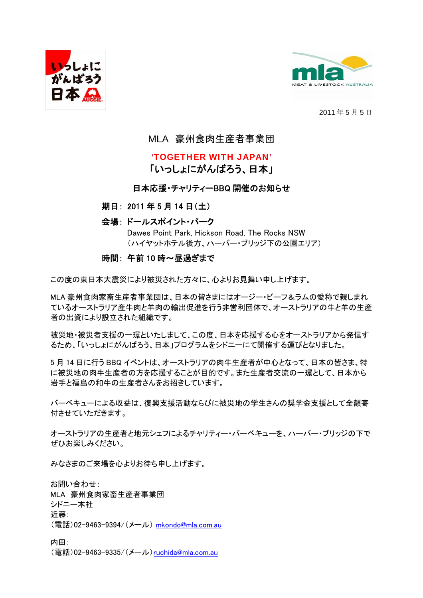



2011 年 5 月 5 日

# MLA 豪州食肉生産者事業団

# 'TOGETHER WITH JAPAN'

# 「いっしょにがんばろう、日本」

## 日本応援・チャリティーBBQ 開催のお知らせ

### 期日: 2011 年 5 月 14 日(土)

## 会場: ドールスポイント・パーク

Dawes Point Park, Hickson Road, The Rocks NSW (ハイヤットホテル後方、ハーバー・ブリッジ下の公園エリア)

#### 時間: 午前 10 時~昼過ぎまで

この度の東日本大震災により被災された方々に、心よりお見舞い申し上げます。

MLA 豪州食肉家畜生産者事業団は、日本の皆さまにはオージー・ビーフ&ラムの愛称で親しまれ ているオーストラリア産牛肉と羊肉の輸出促進を行う非営利団体で、オーストラリアの牛と羊の生産 者の出資により設立された組織です。

被災地・被災者支援の一環といたしまして、この度、日本を応援する心をオーストラリアから発信す るため、「いっしょにがんばろう、日本」プログラムをシドニーにて開催する運びとなりました。

5 月 14 日に行う BBQ イベントは、オーストラリアの肉牛生産者が中心となって、日本の皆さま、特 に被災地の肉牛生産者の方を応援することが目的です。また生産者交流の一環として、日本から 岩手と福島の和牛の生産者さんをお招きしています。

バーベキューによる収益は、復興支援活動ならびに被災地の学生さんの奨学金支援として全額寄 付させていただきます。

オーストラリアの生産者と地元シェフによるチャリティー・バーベキューを、ハーバー・ブリッジの下で ぜひお楽しみください。

みなさまのご来場を心よりお待ち申し上げます。

お問い合わせ: MLA 豪州食肉家畜生産者事業団 シドニー本社 近藤: (電話)02-9463-9394/(メール) [mkondo@mla.com.au](mailto:mkondo@mla.com.au)

内田: (電話)02-9463-9335/(メール)[ruchida@mla.com.au](mailto:ruchida@mla.com.au)